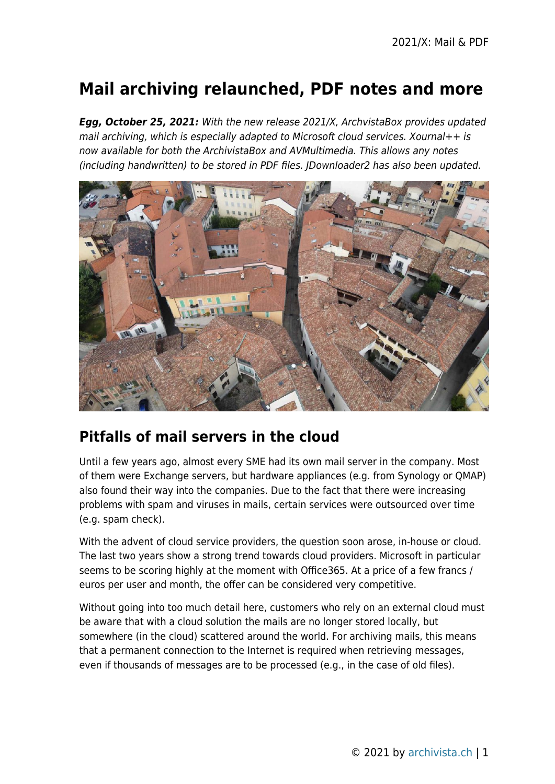# **Mail archiving relaunched, PDF notes and more**

*Egg, October 25, 2021:* With the new release 2021/X, ArchvistaBox provides updated mail archiving, which is especially adapted to Microsoft cloud services. Xournal++ is now available for both the ArchivistaBox and AVMultimedia. This allows any notes (including handwritten) to be stored in PDF files. JDownloader2 has also been updated.



## **Pitfalls of mail servers in the cloud**

Until a few years ago, almost every SME had its own mail server in the company. Most of them were Exchange servers, but hardware appliances (e.g. from Synology or QMAP) also found their way into the companies. Due to the fact that there were increasing problems with spam and viruses in mails, certain services were outsourced over time (e.g. spam check).

With the advent of cloud service providers, the question soon arose, in-house or cloud. The last two years show a strong trend towards cloud providers. Microsoft in particular seems to be scoring highly at the moment with Office365. At a price of a few francs / euros per user and month, the offer can be considered very competitive.

Without going into too much detail here, customers who rely on an external cloud must be aware that with a cloud solution the mails are no longer stored locally, but somewhere (in the cloud) scattered around the world. For archiving mails, this means that a permanent connection to the Internet is required when retrieving messages, even if thousands of messages are to be processed (e.g., in the case of old files).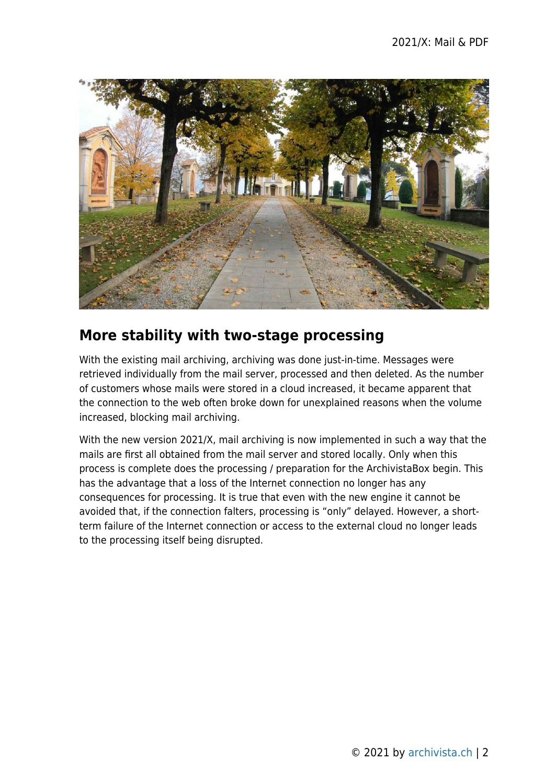

#### **More stability with two-stage processing**

With the existing mail archiving, archiving was done just-in-time. Messages were retrieved individually from the mail server, processed and then deleted. As the number of customers whose mails were stored in a cloud increased, it became apparent that the connection to the web often broke down for unexplained reasons when the volume increased, blocking mail archiving.

With the new version 2021/X, mail archiving is now implemented in such a way that the mails are first all obtained from the mail server and stored locally. Only when this process is complete does the processing / preparation for the ArchivistaBox begin. This has the advantage that a loss of the Internet connection no longer has any consequences for processing. It is true that even with the new engine it cannot be avoided that, if the connection falters, processing is "only" delayed. However, a shortterm failure of the Internet connection or access to the external cloud no longer leads to the processing itself being disrupted.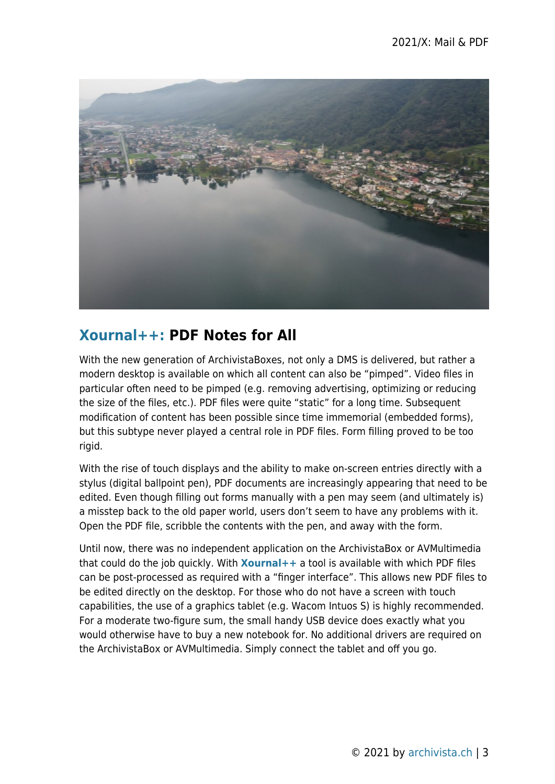

# **[Xournal++:](https://xournalpp.github.io/) PDF Notes for All**

With the new generation of ArchivistaBoxes, not only a DMS is delivered, but rather a modern desktop is available on which all content can also be "pimped". Video files in particular often need to be pimped (e.g. removing advertising, optimizing or reducing the size of the files, etc.). PDF files were quite "static" for a long time. Subsequent modification of content has been possible since time immemorial (embedded forms), but this subtype never played a central role in PDF files. Form filling proved to be too rigid.

With the rise of touch displays and the ability to make on-screen entries directly with a stylus (digital ballpoint pen), PDF documents are increasingly appearing that need to be edited. Even though filling out forms manually with a pen may seem (and ultimately is) a misstep back to the old paper world, users don't seem to have any problems with it. Open the PDF file, scribble the contents with the pen, and away with the form.

Until now, there was no independent application on the ArchivistaBox or AVMultimedia that could do the job quickly. With **[Xournal++](https://xournalpp.github.io/)** a tool is available with which PDF files can be post-processed as required with a "finger interface". This allows new PDF files to be edited directly on the desktop. For those who do not have a screen with touch capabilities, the use of a graphics tablet (e.g. Wacom Intuos S) is highly recommended. For a moderate two-figure sum, the small handy USB device does exactly what you would otherwise have to buy a new notebook for. No additional drivers are required on the ArchivistaBox or AVMultimedia. Simply connect the tablet and off you go.